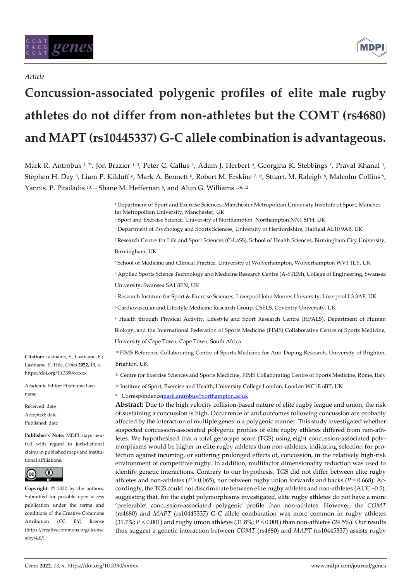## *Article*

# **Concussion-associated polygenic profiles of elite male rugby athletes do not differ from non-athletes but the COMT (rs4680) and MAPT (rs10445337) G-C allele combination is advantageous.**

Mark R. Antrobus 1,2\*, Jon Brazier 1,3, Peter C. Callus 1, Adam J. Herbert 4, Georgina K. Stebbings 1, Praval Khanal 1, Stephen H. Day 5, Liam P. Kilduff 6, Mark A. Bennett 6, Robert M. Erskine 7,12, Stuart. M. Raleigh 8, Malcolm Collins 9, Yannis. P. Pitsiladis 10, 11 Shane M. Heffernan <sup>6</sup> , and Alun G. Williams 1, 6, 12

> <sup>1</sup> Department of Sport and Exercise Sciences, Manchester Metropolitan University Institute of Sport, Manchester Metropolitan University, Manchester, UK

<sup>2</sup> Sport and Exercise Science, University of Northampton, Northampton NN1 5PH, UK

<sup>3</sup> Department of Psychology and Sports Sciences, University of Hertfordshire, Hatfield AL10 9AB, UK

<sup>4</sup>Research Centre for Life and Sport Sciences (C-LaSS), School of Health Sciences, Birmingham City University, Birmingham, UK

<sup>5</sup> School of Medicine and Clinical Practice, University of Wolverhampton, Wolverhampton WV1 1LY, UK

<sup>6</sup> Applied Sports Science Technology and Medicine Research Centre (A-STEM), College of Engineering, Swansea University, Swansea SA1 8EN, UK

<sup>7</sup> Research Institute for Sport & Exercise Sciences, Liverpool John Moores University, Liverpool L3 3AF, UK

<sup>8</sup>Cardiovascular and Lifestyle Medicine Research Group, CSELS, Coventry University, UK

<sup>9</sup> Health through Physical Activity, Lifestyle and Sport Research Centre (HPALS), Department of Human Biology, and the International Federation of Sports Medicine (FIMS) Collaborative Centre of Sports Medicine, University of Cape Town, Cape Town, South Africa

<sup>10</sup>FIMS Reference Collaborating Centre of Sports Medicine for Anti-Doping Research, University of Brighton, Brighton, UK

<sup>11</sup> Centre for Exercise Sciences and Sports Medicine, FIMS Collaborating Centre of Sports Medicine, Rome, Italy

<sup>12</sup> Institute of Sport, Exercise and Health, University College London, London WC1E 6BT, UK

**\*** Correspondenc[emark.antrobus@northampton.ac.uk](mailto:mark.antrobus@northampton.ac.uk)

**Abstract:** Due to the high velocity collision-based nature of elite rugby league and union, the risk of sustaining a concussion is high. Occurrence of and outcomes following concussion are probably affected by the interaction of multiple genes in a polygenic manner. This study investigated whether suspected concussion-associated polygenic profiles of elite rugby athletes differed from non-athletes. We hypothesised that a total genotype score (TGS) using eight concussion-associated polymorphisms would be higher in elite rugby athletes than non-athletes, indicating selection for protection against incurring, or suffering prolonged effects of, concussion, in the relatively high-risk environment of competitive rugby. In addition, multifactor dimensionality reduction was used to identify genetic interactions. Contrary to our hypothesis, TGS did not differ between elite rugby athletes and non-athletes ( $P \ge 0.065$ ), nor between rugby union forwards and backs ( $P = 0.668$ ). Accordingly, the TGS could not discriminate between elite rugby athletes and non-athletes (AUC ~0.5), suggesting that, for the eight polymorphisms investigated, elite rugby athletes do not have a more 'preferable' concussion-associated polygenic profile than non-athletes. However, the *COMT*  (rs4680) and *MAPT* (rs10445337) G-C allele combination was more common in rugby athletes (31.7%; *P* < 0.001) and rugby union athletes (31.8%; *P* < 0.001) than non-athletes (24.5%). Our results thus suggest a genetic interaction between *COMT* (rs4680) and *MAPT* (rs10445337) assists rugby

**Citation:** Lastname, F.; Lastname, F.; Lastname, F. Title. *Genes* **2022**, *13*, x. https://doi.org/10.3390/xxxxx

Academic Editor: Firstname Lastname

Received: date Accepted: date Published: date

**Publisher's Note:** MDPI stays neutral with regard to jurisdictional claims in published maps and institutional affiliations.



**Copyright:** © 2022 by the authors. Submitted for possible open access publication under the terms and conditions of the Creative Commons Attribution (CC BY) license (https://creativecommons.org/license s/by/4.0/).

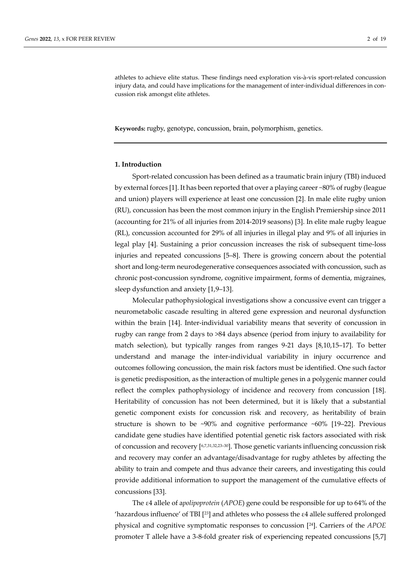athletes to achieve elite status. These findings need exploration vis-à-vis sport-related concussion injury data, and could have implications for the management of inter-individual differences in concussion risk amongst elite athletes.

**Keywords:** rugby, genotype, concussion, brain, polymorphism, genetics.

#### **1. Introduction**

Sport-related concussion has been defined as a traumatic brain injury (TBI) induced by external forces [1]. It has been reported that over a playing career ~80% of rugby (league and union) players will experience at least one concussion [2]. In male elite rugby union (RU), concussion has been the most common injury in the English Premiership since 2011 (accounting for 21% of all injuries from 2014-2019 seasons) [3]. In elite male rugby league (RL), concussion accounted for 29% of all injuries in illegal play and 9% of all injuries in legal play [4]. Sustaining a prior concussion increases the risk of subsequent time-loss injuries and repeated concussions [5–8]. There is growing concern about the potential short and long-term neurodegenerative consequences associated with concussion, such as chronic post-concussion syndrome, cognitive impairment, forms of dementia, migraines, sleep dysfunction and anxiety [1,9–13].

Molecular pathophysiological investigations show a concussive event can trigger a neurometabolic cascade resulting in altered gene expression and neuronal dysfunction within the brain [14]. Inter-individual variability means that severity of concussion in rugby can range from 2 days to >84 days absence (period from injury to availability for match selection), but typically ranges from ranges 9-21 days [8,10,15–17]. To better understand and manage the inter-individual variability in injury occurrence and outcomes following concussion, the main risk factors must be identified. One such factor is genetic predisposition, as the interaction of multiple genes in a polygenic manner could reflect the complex pathophysiology of incidence and recovery from concussion [18]. Heritability of concussion has not been determined, but it is likely that a substantial genetic component exists for concussion risk and recovery, as heritability of brain structure is shown to be  $\sim 90\%$  and cognitive performance  $\sim 60\%$  [19–22]. Previous candidate gene studies have identified potential genetic risk factors associated with risk of concussion and recovery [6,7,31,32,23–30]. Those genetic variants influencing concussion risk and recovery may confer an advantage/disadvantage for rugby athletes by affecting the ability to train and compete and thus advance their careers, and investigating this could provide additional information to support the management of the cumulative effects of concussions [33].

The ε4 allele of a*polipoprotein* (*APOE*) gene could be responsible for up to 64% of the 'hazardous influence' of TBI [23] and athletes who possess the ε4 allele suffered prolonged physical and cognitive symptomatic responses to concussion [24]. Carriers of the *APOE* promoter T allele have a 3-8-fold greater risk of experiencing repeated concussions [5,7]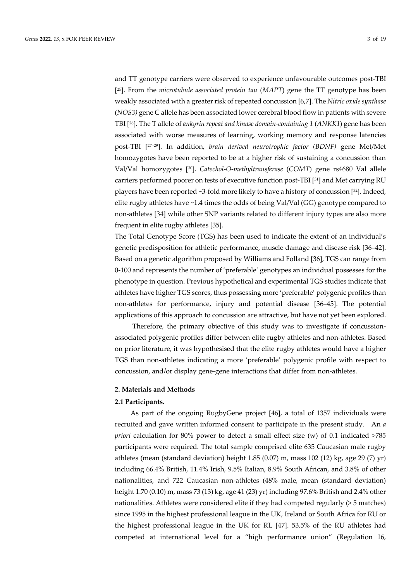and TT genotype carriers were observed to experience unfavourable outcomes post-TBI [ <sup>25</sup>]. From the *microtubule associated protein tau* (*MAPT*) gene the TT genotype has been weakly associated with a greater risk of repeated concussion [6,7]. The *Nitric oxide synthase* (*NOS3)* gene C allele has been associated lower cerebral blood flow in patients with severe TBI [26]. The T allele of *ankyrin repeat and kinase domain-containing 1* (*ANKK1*) gene has been associated with worse measures of learning, working memory and response latencies post-TBI [27–29]. In addition, *brain derived neurotrophic factor (BDNF)* gene Met/Met homozygotes have been reported to be at a higher risk of sustaining a concussion than Val/Val homozygotes [30]. *Catechol-O-methyltransferase* (*COMT*) gene rs4680 Val allele carriers performed poorer on tests of executive function post-TBI [31] and Met carrying RU players have been reported ~3-fold more likely to have a history of concussion [32]. Indeed, elite rugby athletes have ~1.4 times the odds of being Val/Val (GG) genotype compared to non-athletes [34] while other SNP variants related to different injury types are also more frequent in elite rugby athletes [35].

The Total Genotype Score (TGS) has been used to indicate the extent of an individual's genetic predisposition for athletic performance, muscle damage and disease risk [36–42]. Based on a genetic algorithm proposed by Williams and Folland [36], TGS can range from 0-100 and represents the number of 'preferable' genotypes an individual possesses for the phenotype in question. Previous hypothetical and experimental TGS studies indicate that athletes have higher TGS scores, thus possessing more 'preferable' polygenic profiles than non-athletes for performance, injury and potential disease [36–45]. The potential applications of this approach to concussion are attractive, but have not yet been explored.

Therefore, the primary objective of this study was to investigate if concussionassociated polygenic profiles differ between elite rugby athletes and non-athletes. Based on prior literature, it was hypothesised that the elite rugby athletes would have a higher TGS than non-athletes indicating a more 'preferable' polygenic profile with respect to concussion, and/or display gene-gene interactions that differ from non-athletes.

## **2. Materials and Methods**

#### **2.1 Participants.**

As part of the ongoing RugbyGene project [46], a total of 1357 individuals were recruited and gave written informed consent to participate in the present study. An *a priori* calculation for 80% power to detect a small effect size (w) of 0.1 indicated >785 participants were required. The total sample comprised elite 635 Caucasian male rugby athletes (mean (standard deviation) height 1.85 (0.07) m, mass 102 (12) kg, age 29 (7) yr) including 66.4% British, 11.4% Irish, 9.5% Italian, 8.9% South African, and 3.8% of other nationalities, and 722 Caucasian non-athletes (48% male, mean (standard deviation) height 1.70 (0.10) m, mass 73 (13) kg, age 41 (23) yr) including 97.6% British and 2.4% other nationalities. Athletes were considered elite if they had competed regularly (> 5 matches) since 1995 in the highest professional league in the UK, Ireland or South Africa for RU or the highest professional league in the UK for RL [47]. 53.5% of the RU athletes had competed at international level for a "high performance union" (Regulation 16,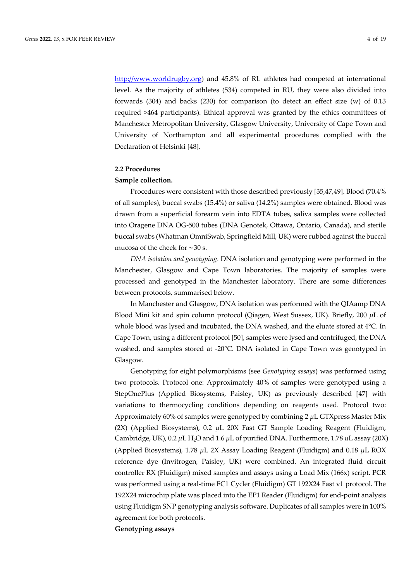[http://www.worldrugby.org\)](http://www.worldrugby.org/) and 45.8% of RL athletes had competed at international level. As the majority of athletes (534) competed in RU, they were also divided into forwards (304) and backs (230) for comparison (to detect an effect size (w) of 0.13 required >464 participants). Ethical approval was granted by the ethics committees of Manchester Metropolitan University, Glasgow University, University of Cape Town and University of Northampton and all experimental procedures complied with the Declaration of Helsinki [48].

## **2.2 Procedures**

#### **Sample collection.**

Procedures were consistent with those described previously [35,47,49]. Blood (70.4% of all samples), buccal swabs (15.4%) or saliva (14.2%) samples were obtained. Blood was drawn from a superficial forearm vein into EDTA tubes, saliva samples were collected into Oragene DNA OG-500 tubes (DNA Genotek, Ottawa, Ontario, Canada), and sterile buccal swabs (Whatman OmniSwab, Springfield Mill, UK) were rubbed against the buccal mucosa of the cheek for ∼30 s.

*DNA isolation and genotyping.* DNA isolation and genotyping were performed in the Manchester, Glasgow and Cape Town laboratories. The majority of samples were processed and genotyped in the Manchester laboratory. There are some differences between protocols, summarised below.

In Manchester and Glasgow, DNA isolation was performed with the QIAamp DNA Blood Mini kit and spin column protocol (Qiagen, West Sussex, UK). Briefly, 200 *μ*L of whole blood was lysed and incubated, the DNA washed, and the eluate stored at 4°C. In Cape Town, using a different protocol [50], samples were lysed and centrifuged, the DNA washed, and samples stored at -20°C. DNA isolated in Cape Town was genotyped in Glasgow.

Genotyping for eight polymorphisms (see *Genotyping assays*) was performed using two protocols. Protocol one: Approximately 40% of samples were genotyped using a StepOnePlus (Applied Biosystems, Paisley, UK) as previously described [47] with variations to thermocycling conditions depending on reagents used. Protocol two: Approximately 60% of samples were genotyped by combining 2 *μ*L GTXpress Master Mix (2X) (Applied Biosystems), 0.2 *μ*L 20X Fast GT Sample Loading Reagent (Fluidigm, Cambridge, UK), 0.2 *μ*L H2O and 1.6 *μ*L of purified DNA. Furthermore, 1.78 *μ*L assay (20X) (Applied Biosystems), 1.78 *μ*L 2X Assay Loading Reagent (Fluidigm) and 0.18 *μ*L ROX reference dye (Invitrogen, Paisley, UK) were combined. An integrated fluid circuit controller RX (Fluidigm) mixed samples and assays using a Load Mix (166x) script. PCR was performed using a real-time FC1 Cycler (Fluidigm) GT 192X24 Fast v1 protocol. The 192X24 microchip plate was placed into the EP1 Reader (Fluidigm) for end-point analysis using Fluidigm SNP genotyping analysis software. Duplicates of all samples were in 100% agreement for both protocols.

**Genotyping assays**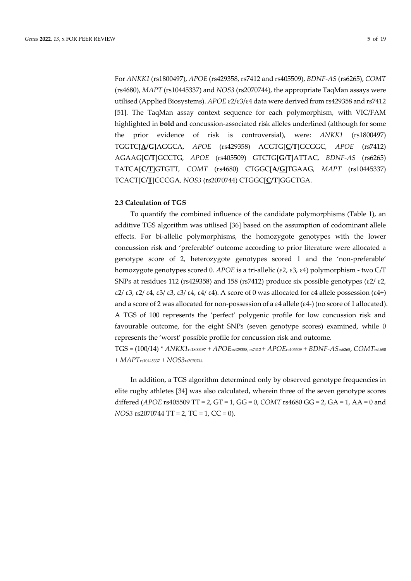For *ANKK1* (rs1800497), *APOE* (rs429358, rs7412 and rs405509), *BDNF-AS* (rs6265), *COMT*  (rs4680), *MAPT* (rs10445337) and *NOS3* (rs2070744), the appropriate TaqMan assays were utilised (Applied Biosystems). *APOE* ε2/ε3/ε4 data were derived from rs429358 and rs7412 [51]. The TaqMan assay context sequence for each polymorphism, with VIC/FAM highlighted in **bold** and concussion-associated risk alleles underlined (although for some the prior evidence of risk is controversial), were: *ANKK1* (rs1800497) TGGTC[**A/G**]AGGCA, *APOE* (rs429358) ACGTG[**C/T**]GCGGC*, APOE* (rs7412) AGAAG[**C/T**]GCCTG*, APOE* (rs405509) GTCTG[**G/T**]ATTAC*, BDNF-AS* (rs6265) TATCA[**C/T**]GTGTT*, COMT* (rs4680) CTGGC[**A/G**]TGAAG*, MAPT* (rs10445337) TCACT[**C/T**]CCCGA*, NOS3* (rs2070744) CTGGC[**C/T**]GGCTGA.

## **2.3 Calculation of TGS**

To quantify the combined influence of the candidate polymorphisms (Table 1), an additive TGS algorithm was utilised [36] based on the assumption of codominant allele effects. For bi-allelic polymorphisms, the homozygote genotypes with the lower concussion risk and 'preferable' outcome according to prior literature were allocated a genotype score of 2, heterozygote genotypes scored 1 and the 'non-preferable' homozygote genotypes scored 0. *APOE* is a tri-allelic (ε2, ε3, ε4) polymorphism - two C/T SNPs at residues 112 (rs429358) and 158 (rs7412) produce six possible genotypes ( $\epsilon$ 2/ $\epsilon$ 2, ε2/ ε3, ε2/ ε4, ε3/ ε3, ε3/ ε4, ε4/ ε4). A score of 0 was allocated for ε4 allele possession (ε4+) and a score of 2 was allocated for non-possession of a ε4 allele (ε4-) (no score of 1 allocated). A TGS of 100 represents the 'perfect' polygenic profile for low concussion risk and favourable outcome, for the eight SNPs (seven genotype scores) examined, while 0 represents the 'worst' possible profile for concussion risk and outcome.

TGS = (100/14) \* *ANKK1*rs1800497 + *APOE*rs429358, rs7412 + *APOE*rs405509 + *BDNF-AS*rs6265, *COMT*rs4680 + *MAPT*rs10445337 + *NOS3*rs2070744

In addition, a TGS algorithm determined only by observed genotype frequencies in elite rugby athletes [34] was also calculated, wherein three of the seven genotype scores differed (*APOE* rs405509 TT = 2, GT = 1, GG = 0, *COMT* rs4680 GG = 2, GA = 1, AA = 0 and *NOS3* rs2070744 TT = 2, TC = 1, CC = 0).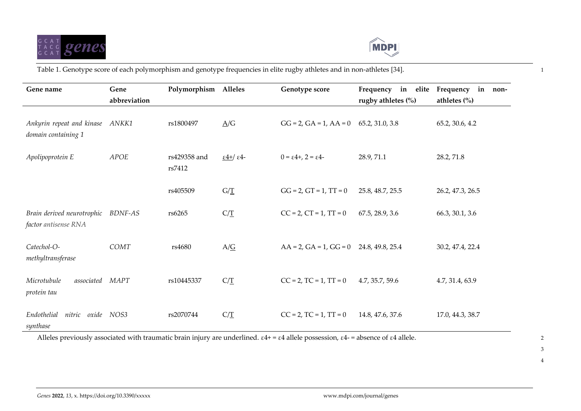



Table 1. Genotype score of each polymorphism and genotype frequencies in elite rugby athletes and in non-athletes [34]. 1

| Gene name                                          | Gene           | Polymorphism Alleles   |                             | Genotype score                                  | in elite<br>Frequency | Frequency<br>in non-   |
|----------------------------------------------------|----------------|------------------------|-----------------------------|-------------------------------------------------|-----------------------|------------------------|
|                                                    | abbreviation   |                        |                             |                                                 | rugby athletes $(\%)$ | athletes $\frac{0}{0}$ |
| Ankyrin repeat and kinase<br>domain containing 1   | ANKK1          | rs1800497              | $\Delta/G$                  | $GG = 2$ , $GA = 1$ , $AA = 0$                  | 65.2, 31.0, 3.8       | 65.2, 30.6, 4.2        |
| Apolipoprotein E                                   | APOE           | rs429358 and<br>rs7412 | $\frac{1}{2}$ $\frac{4}{5}$ | $0 = \varepsilon 4 + 2 = \varepsilon 4 - 1$     | 28.9, 71.1            | 28.2, 71.8             |
|                                                    |                | rs405509               | $G/\underline{T}$           | $GG = 2$ , $GT = 1$ , $TT = 0$                  | 25.8, 48.7, 25.5      | 26.2, 47.3, 26.5       |
| Brain derived neurotrophic<br>factor antisense RNA | <b>BDNF-AS</b> | rs6265                 | $C/\underline{T}$           | $CC = 2$ , $CT = 1$ , $TT = 0$                  | 67.5, 28.9, 3.6       | 66.3, 30.1, 3.6        |
| Catechol-O-<br>methyltransferase                   | COMT           | rs4680                 | $A/\underline{G}$           | $AA = 2$ , $GA = 1$ , $GG = 0$ 24.8, 49.8, 25.4 |                       | 30.2, 47.4, 22.4       |
| Microtubule<br>associated<br>protein tau           | <b>MAPT</b>    | rs10445337             | $C/\underline{T}$           | $CC = 2$ , $TC = 1$ , $TT = 0$                  | 4.7, 35.7, 59.6       | 4.7, 31.4, 63.9        |
| Endothelial<br>nitric oxide NOS3<br>synthase       |                | rs2070744              | $C/\underline{T}$           | $CC = 2$ , $TC = 1$ , $TT = 0$                  | 14.8, 47.6, 37.6      | 17.0, 44.3, 38.7       |

Alleles previously associated with traumatic brain injury are underlined.  $\epsilon 4$ + =  $\epsilon 4$  allele possession,  $\epsilon 4$ - = absence of  $\epsilon 4$  allele.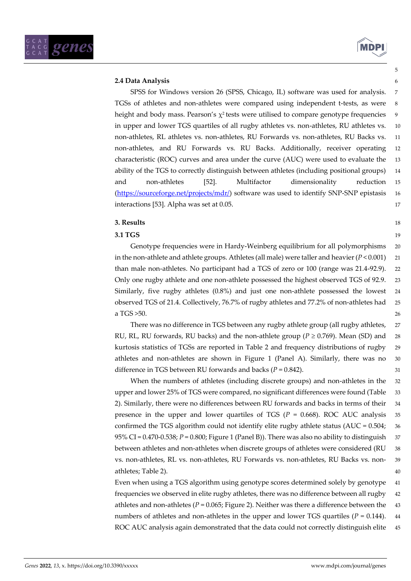

5

# **2.4 Data Analysis** 6

SPSS for Windows version 26 (SPSS, Chicago, IL) software was used for analysis. 7 TGSs of athletes and non-athletes were compared using independent t-tests, as were 8 height and body mass. Pearson's  $\chi^2$  tests were utilised to compare genotype frequencies 9 in upper and lower TGS quartiles of all rugby athletes vs. non-athletes, RU athletes vs. 10 non-athletes, RL athletes vs. non-athletes, RU Forwards vs. non-athletes, RU Backs vs. 11 non-athletes, and RU Forwards vs. RU Backs. Additionally, receiver operating 12 characteristic (ROC) curves and area under the curve (AUC) were used to evaluate the 13 ability of the TGS to correctly distinguish between athletes (including positional groups) 14 and non-athletes [52]. Multifactor dimensionality reduction 15 [\(https://sourceforge.net/projects/mdr/\)](https://sourceforge.net/projects/mdr/) software was used to identify SNP-SNP epistasis 16 interactions [53]. Alpha was set at 0.05. 17

# **3. Results** 18

# **3.1 TGS** 19

Genotype frequencies were in Hardy-Weinberg equilibrium for all polymorphisms 20 in the non-athlete and athlete groups. Athletes (all male) were taller and heavier  $(P < 0.001)$  21 than male non-athletes. No participant had a TGS of zero or 100 (range was 21.4-92.9). 22 Only one rugby athlete and one non-athlete possessed the highest observed TGS of 92.9. 23 Similarly, five rugby athletes  $(0.8%)$  and just one non-athlete possessed the lowest 24 observed TGS of 21.4. Collectively, 76.7% of rugby athletes and 77.2% of non-athletes had 25 a TGS  $>50$ . 26

There was no difference in TGS between any rugby athlete group (all rugby athletes, 27 RU, RL, RU forwards, RU backs) and the non-athlete group ( $P \ge 0.769$ ). Mean (SD) and 28 kurtosis statistics of TGSs are reported in Table 2 and frequency distributions of rugby 29 athletes and non-athletes are shown in Figure 1 (Panel A). Similarly, there was no 30 difference in TGS between RU forwards and backs  $(P = 0.842)$ . 31

When the numbers of athletes (including discrete groups) and non-athletes in the 32 upper and lower 25% of TGS were compared, no significant differences were found (Table 33 2). Similarly, there were no differences between RU forwards and backs in terms of their 34 presence in the upper and lower quartiles of TGS ( $P = 0.668$ ). ROC AUC analysis 35 confirmed the TGS algorithm could not identify elite rugby athlete status (AUC = 0.504; 36 95% CI = 0.470-0.538; *P* = 0.800; Figure 1 (Panel B)). There was also no ability to distinguish 37 between athletes and non-athletes when discrete groups of athletes were considered (RU 38 vs. non-athletes, RL vs. non-athletes, RU Forwards vs. non-athletes, RU Backs vs. non- 39 athletes; Table 2). 40

Even when using a TGS algorithm using genotype scores determined solely by genotype 41 frequencies we observed in elite rugby athletes, there was no difference between all rugby 42 athletes and non-athletes ( $P = 0.065$ ; Figure 2). Neither was there a difference between the 43 numbers of athletes and non-athletes in the upper and lower TGS quartiles  $(P = 0.144)$ . 44 ROC AUC analysis again demonstrated that the data could not correctly distinguish elite 45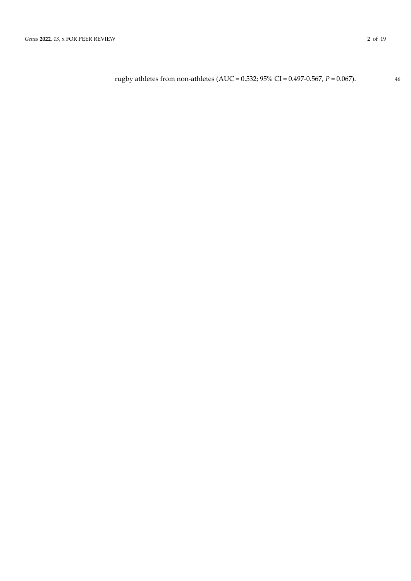rugby athletes from non-athletes (AUC = 0.532; 95% CI = 0.497-0.567, *P* = 0.067). 46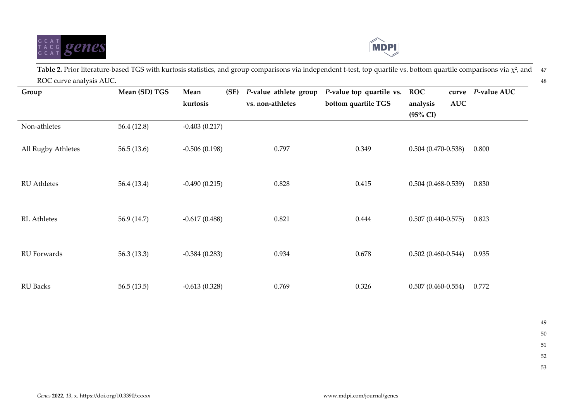



**Table 2.** Prior literature-based TGS with kurtosis statistics, and group comparisons via independent t-test, top quartile vs. bottom quartile comparisons via  $\chi^2$ , and 47 ROC curve analysis AUC. 48

| Group              | Mean (SD) TGS | Mean            | (SE) | P-value athlete group | P-value top quartile vs. | <b>ROC</b>             | curve          | P-value AUC |
|--------------------|---------------|-----------------|------|-----------------------|--------------------------|------------------------|----------------|-------------|
|                    |               | kurtosis        |      | vs. non-athletes      | bottom quartile TGS      | analysis               | $\mathbf{AUC}$ |             |
|                    |               |                 |      |                       |                          | $(95\% \text{ CI})$    |                |             |
| Non-athletes       | 56.4 (12.8)   | $-0.403(0.217)$ |      |                       |                          |                        |                |             |
| All Rugby Athletes | 56.5(13.6)    | $-0.506(0.198)$ |      | 0.797                 | 0.349                    | $0.504(0.470-0.538)$   |                | 0.800       |
| <b>RU</b> Athletes | 56.4 (13.4)   | $-0.490(0.215)$ |      | 0.828                 | 0.415                    | $0.504(0.468-0.539)$   |                | 0.830       |
| <b>RL</b> Athletes | 56.9 (14.7)   | $-0.617(0.488)$ |      | 0.821                 | 0.444                    | $0.507(0.440-0.575)$   |                | 0.823       |
| RU Forwards        | 56.3 $(13.3)$ | $-0.384(0.283)$ |      | 0.934                 | 0.678                    | $0.502(0.460-0.544)$   |                | 0.935       |
| <b>RU Backs</b>    | 56.5(13.5)    | $-0.613(0.328)$ |      | 0.769                 | 0.326                    | $0.507(0.460 - 0.554)$ |                | 0.772       |
|                    |               |                 |      |                       |                          |                        |                |             |

- 51
- 
- 52
- 53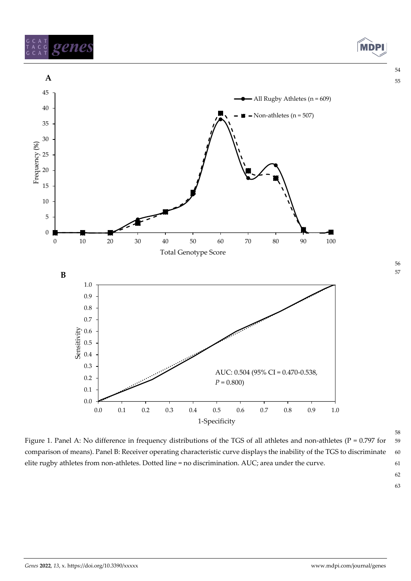



Figure 1. Panel A: No difference in frequency distributions of the TGS of all athletes and non-athletes (P = 0.797 for 59 comparison of means). Panel B: Receiver operating characteristic curve displays the inability of the TGS to discriminate 60 elite rugby athletes from non-athletes. Dotted line = no discrimination. AUC; area under the curve. 61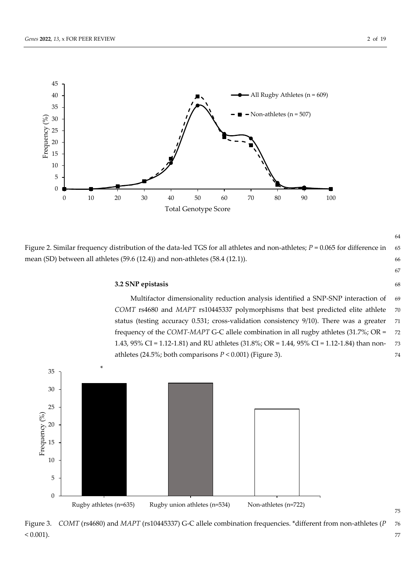



Figure 2. Similar frequency distribution of the data-led TGS for all athletes and non-athletes; *P* = 0.065 for difference in 65 mean (SD) between all athletes (59.6 (12.4)) and non-athletes (58.4 (12.1)). 66

64

## **3.2 SNP epistasis** 68

Multifactor dimensionality reduction analysis identified a SNP-SNP interaction of 69 *COMT* rs4680 and *MAPT* rs10445337 polymorphisms that best predicted elite athlete 70 status (testing accuracy 0.531; cross-validation consistency 9/10). There was a greater 71 frequency of the *COMT-MAPT* G-C allele combination in all rugby athletes (31.7%; OR = 72 1.43, 95% CI = 1.12-1.81) and RU athletes (31.8%; OR = 1.44, 95% CI = 1.12-1.84) than non- 73 athletes  $(24.5\%)$ ; both comparisons  $P < 0.001$ ) (Figure 3).



Figure 3. *COMT* (rs4680) and *MAPT* (rs10445337) G-C allele combination frequencies. \*different from non-athletes (*P* 76  $< 0.001$ ).  $77$ 

67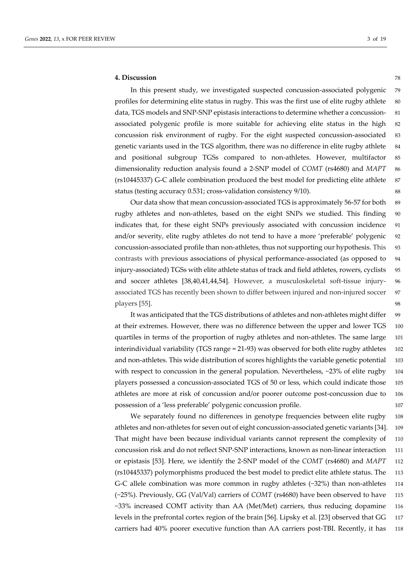#### **4. Discussion** 78

In this present study, we investigated suspected concussion-associated polygenic 79 profiles for determining elite status in rugby. This was the first use of elite rugby athlete 80 data, TGS models and SNP-SNP epistasis interactions to determine whether a concussion- 81 associated polygenic profile is more suitable for achieving elite status in the high 82 concussion risk environment of rugby. For the eight suspected concussion-associated 83 genetic variants used in the TGS algorithm, there was no difference in elite rugby athlete 84 and positional subgroup TGSs compared to non-athletes. However, multifactor 85 dimensionality reduction analysis found a 2-SNP model of *COMT* (rs4680) and *MAPT* 86 (rs10445337) G-C allele combination produced the best model for predicting elite athlete 87 status (testing accuracy 0.531; cross-validation consistency 9/10). 88

Our data show that mean concussion-associated TGS is approximately 56-57 for both 89 rugby athletes and non-athletes, based on the eight SNPs we studied. This finding 90 indicates that, for these eight SNPs previously associated with concussion incidence 91 and/or severity, elite rugby athletes do not tend to have a more 'preferable' polygenic 92 concussion-associated profile than non-athletes, thus not supporting our hypothesis. This 93 contrasts with previous associations of physical performance-associated (as opposed to 94 injury-associated) TGSs with elite athlete status of track and field athletes, rowers, cyclists 95 and soccer athletes [38,40,41,44,54]. However, a musculoskeletal soft-tissue injury- 96 associated TGS has recently been shown to differ between injured and non-injured soccer 97 players [55]. 98

It was anticipated that the TGS distributions of athletes and non-athletes might differ 99 at their extremes. However, there was no difference between the upper and lower TGS 100 quartiles in terms of the proportion of rugby athletes and non-athletes. The same large 101 interindividual variability (TGS range = 21-93) was observed for both elite rugby athletes 102 and non-athletes. This wide distribution of scores highlights the variable genetic potential 103 with respect to concussion in the general population. Nevertheless, ~23% of elite rugby 104 players possessed a concussion-associated TGS of 50 or less, which could indicate those 105 athletes are more at risk of concussion and/or poorer outcome post-concussion due to 106 possession of a 'less preferable' polygenic concussion profile. 107

We separately found no differences in genotype frequencies between elite rugby 108 athletes and non-athletes for seven out of eight concussion-associated genetic variants [34]. 109 That might have been because individual variants cannot represent the complexity of 110 concussion risk and do not reflect SNP-SNP interactions, known as non-linear interaction 111 or epistasis [53]. Here, we identify the 2-SNP model of the *COMT* (rs4680) and *MAPT* 112 (rs10445337) polymorphisms produced the best model to predict elite athlete status. The 113 G-C allele combination was more common in rugby athletes (~32%) than non-athletes 114 (~25%). Previously, GG (Val/Val) carriers of *COMT* (rs4680) have been observed to have 115 ~33% increased COMT activity than AA (Met/Met) carriers, thus reducing dopamine 116 levels in the prefrontal cortex region of the brain [56]. Lipsky et al. [23] observed that GG 117 carriers had 40% poorer executive function than AA carriers post-TBI. Recently, it has 118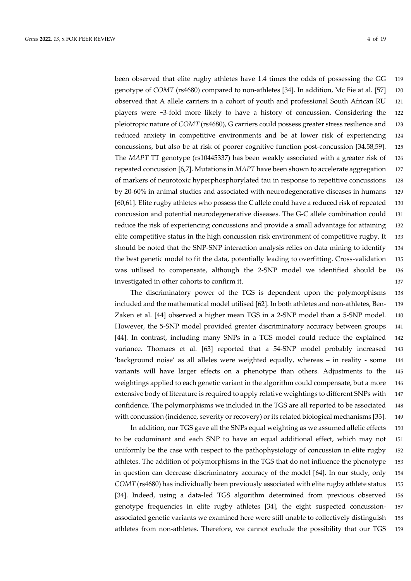been observed that elite rugby athletes have 1.4 times the odds of possessing the GG 119 genotype of *COMT* (rs4680) compared to non-athletes [34]. In addition, Mc Fie at al. [57] 120 observed that A allele carriers in a cohort of youth and professional South African RU 121 players were ~3-fold more likely to have a history of concussion. Considering the 122 pleiotropic nature of *COMT* (rs4680), G carriers could possess greater stress resilience and 123 reduced anxiety in competitive environments and be at lower risk of experiencing 124 concussions, but also be at risk of poorer cognitive function post-concussion [34,58,59]. 125 The *MAPT* TT genotype (rs10445337) has been weakly associated with a greater risk of 126 repeated concussion [6,7]. Mutations in *MAPT* have been shown to accelerate aggregation 127 of markers of neurotoxic hyperphosphorylated tau in response to repetitive concussions 128 by 20-60% in animal studies and associated with neurodegenerative diseases in humans 129 [60,61]. Elite rugby athletes who possess the C allele could have a reduced risk of repeated 130 concussion and potential neurodegenerative diseases. The G-C allele combination could 131 reduce the risk of experiencing concussions and provide a small advantage for attaining 132 elite competitive status in the high concussion risk environment of competitive rugby. It 133 should be noted that the SNP-SNP interaction analysis relies on data mining to identify 134 the best genetic model to fit the data, potentially leading to overfitting. Cross-validation 135 was utilised to compensate, although the 2-SNP model we identified should be 136 investigated in other cohorts to confirm it. 137

The discriminatory power of the TGS is dependent upon the polymorphisms 138 included and the mathematical model utilised [62]. In both athletes and non-athletes, Ben- 139 Zaken et al. [44] observed a higher mean TGS in a 2-SNP model than a 5-SNP model. 140 However, the 5-SNP model provided greater discriminatory accuracy between groups 141 [44]. In contrast, including many SNPs in a TGS model could reduce the explained 142 variance. Thomaes et al. [63] reported that a 54-SNP model probably increased 143 'background noise' as all alleles were weighted equally, whereas – in reality - some 144 variants will have larger effects on a phenotype than others. Adjustments to the 145 weightings applied to each genetic variant in the algorithm could compensate, but a more 146 extensive body of literature is required to apply relative weightings to different SNPs with 147 confidence. The polymorphisms we included in the TGS are all reported to be associated 148 with concussion (incidence, severity or recovery) or its related biological mechanisms [33]. 149

In addition, our TGS gave all the SNPs equal weighting as we assumed allelic effects 150 to be codominant and each SNP to have an equal additional effect, which may not 151 uniformly be the case with respect to the pathophysiology of concussion in elite rugby 152 athletes. The addition of polymorphisms in the TGS that do not influence the phenotype 153 in question can decrease discriminatory accuracy of the model [64]. In our study, only 154 *COMT* (rs4680) has individually been previously associated with elite rugby athlete status 155 [34]. Indeed, using a data-led TGS algorithm determined from previous observed 156 genotype frequencies in elite rugby athletes [34], the eight suspected concussion- 157 associated genetic variants we examined here were still unable to collectively distinguish 158 athletes from non-athletes. Therefore, we cannot exclude the possibility that our TGS 159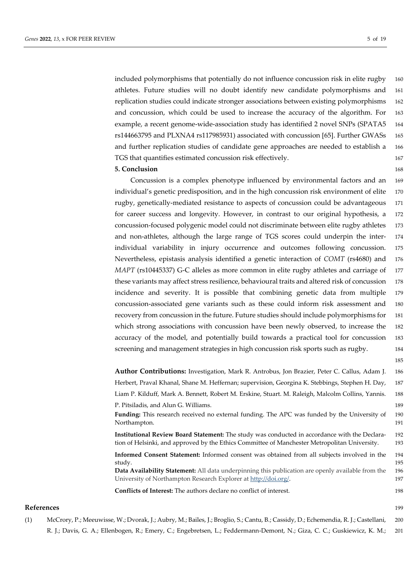included polymorphisms that potentially do not influence concussion risk in elite rugby 160 athletes. Future studies will no doubt identify new candidate polymorphisms and 161 replication studies could indicate stronger associations between existing polymorphisms 162 and concussion, which could be used to increase the accuracy of the algorithm. For 163 example, a recent genome-wide-association study has identified 2 novel SNPs (SPATA5 164 rs144663795 and PLXNA4 rs117985931) associated with concussion [65]. Further GWASs 165 and further replication studies of candidate gene approaches are needed to establish a 166 TGS that quantifies estimated concussion risk effectively. 167

## **5. Conclusion** 168

Concussion is a complex phenotype influenced by environmental factors and an 169 individual's genetic predisposition, and in the high concussion risk environment of elite 170 rugby, genetically-mediated resistance to aspects of concussion could be advantageous 171 for career success and longevity. However, in contrast to our original hypothesis, a 172 concussion-focused polygenic model could not discriminate between elite rugby athletes 173 and non-athletes, although the large range of TGS scores could underpin the inter- 174 individual variability in injury occurrence and outcomes following concussion. 175 Nevertheless, epistasis analysis identified a genetic interaction of *COMT* (rs4680) and 176 *MAPT* (rs10445337) G-C alleles as more common in elite rugby athletes and carriage of 177 these variants may affect stress resilience, behavioural traits and altered risk of concussion 178 incidence and severity. It is possible that combining genetic data from multiple 179 concussion-associated gene variants such as these could inform risk assessment and 180 recovery from concussion in the future. Future studies should include polymorphisms for 181 which strong associations with concussion have been newly observed, to increase the 182 accuracy of the model, and potentially build towards a practical tool for concussion 183 screening and management strategies in high concussion risk sports such as rugby. 184

**Author Contributions:** Investigation, Mark R. Antrobus, Jon Brazier, Peter C. Callus, Adam J. 186 Herbert, Praval Khanal, Shane M. Heffernan; supervision, Georgina K. Stebbings, Stephen H. Day, 187 Liam P. Kilduff, Mark A. Bennett, Robert M. Erskine, Stuart. M. Raleigh, Malcolm Collins, Yannis. 188 P. Pitsiladis, and Alun G. Williams. 189 **Funding:** This research received no external funding. The APC was funded by the University of 190 Northampton. 191 **Institutional Review Board Statement:** The study was conducted in accordance with the Declara- 192 tion of Helsinki, and approved by the Ethics Committee of Manchester Metropolitan University. 193

**Informed Consent Statement:** Informed consent was obtained from all subjects involved in the 194 study. 195

**Data Availability Statement:** All data underpinning this publication are openly available from the 196 University of Northampton Research Explorer at  $\frac{http://doi.org/}{http://doi.org/}{$ .

**Conflicts of Interest:** The authors declare no conflict of interest. 198

#### **References** 199

(1) McCrory, P.; Meeuwisse, W.; Dvorak, J.; Aubry, M.; Bailes, J.; Broglio, S.; Cantu, B.; Cassidy, D.; Echemendia, R. J.; Castellani, 200 R. J.; Davis, G. A.; Ellenbogen, R.; Emery, C.; Engebretsen, L.; Feddermann-Demont, N.; Giza, C. C.; Guskiewicz, K. M.; 201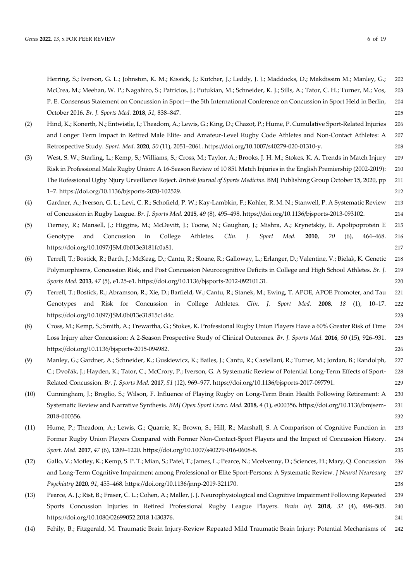Herring, S.; Iverson, G. L.; Johnston, K. M.; Kissick, J.; Kutcher, J.; Leddy, J. J.; Maddocks, D.; Makdissim M.; Manley, G.; 202 McCrea, M.; Meehan, W. P.; Nagahiro, S.; Patricios, J.; Putukian, M.; Schneider, K. J.; Sills, A.; Tator, C. H.; Turner, M.; Vos, 203 P. E. Consensus Statement on Concussion in Sport—the 5th International Conference on Concussion in Sport Held in Berlin, 204 October 2016. *Br. J. Sports Med.* **2018**, *51*, 838–847. 205

- (2) Hind, K.; Konerth, N.; Entwistle, I.; Theadom, A.; Lewis, G.; King, D.; Chazot, P.; Hume, P. Cumulative Sport-Related Injuries 206 and Longer Term Impact in Retired Male Elite- and Amateur-Level Rugby Code Athletes and Non-Contact Athletes: A 207 Retrospective Study. *Sport. Med.* **2020**, *50* (11), 2051–2061. https://doi.org/10.1007/s40279-020-01310-y. 208
- (3) West, S. W.; Starling, L.; Kemp, S.; Williams, S.; Cross, M.; Taylor, A.; Brooks, J. H. M.; Stokes, K. A. Trends in Match Injury 209 Risk in Professional Male Rugby Union: A 16-Season Review of 10 851 Match Injuries in the English Premiership (2002-2019): 210 The Rofessional Ugby Njury Urveillance Roject. *British Journal of Sports Medicine*. BMJ Publishing Group October 15, 2020, pp 211 1–7. https://doi.org/10.1136/bjsports-2020-102529. 212
- (4) Gardner, A.; Iverson, G. L.; Levi, C. R.; Schofield, P. W.; Kay-Lambkin, F.; Kohler, R. M. N.; Stanwell, P. A Systematic Review 213 of Concussion in Rugby League. *Br. J. Sports Med.* **2015**, *49* (8), 495–498. https://doi.org/10.1136/bjsports-2013-093102. 214
- (5) Tierney, R.; Mansell, J.; Higgins, M.; McDevitt, J.; Toone, N.; Gaughan, J.; Mishra, A.; Krynetskiy, E. Apolipoprotein E 215 Genotype and Concussion in College Athletes. *Clin. J. Sport Med.* **2010**, *20* (6), 464–468. 216 https://doi.org/10.1097/JSM.0b013e3181fc0a81. 217
- (6) Terrell, T.; Bostick, R.; Barth, J.; McKeag, D.; Cantu, R.; Sloane, R.; Galloway, L.; Erlanger, D.; Valentine, V.; Bielak, K. Genetic 218 Polymorphisms, Concussion Risk, and Post Concussion Neurocognitive Deficits in College and High School Athletes. *Br. J.* 219 *Sports Med.* **2013**, *47* (5), e1.25-e1. https://doi.org/10.1136/bjsports-2012-092101.31. 220
- (7) Terrell, T.; Bostick, R.; Abramson, R.; Xie, D.; Barfield, W.; Cantu, R.; Stanek, M.; Ewing, T. APOE, APOE Promoter, and Tau 221 Genotypes and Risk for Concussion in College Athletes. *Clin. J. Sport Med.* **2008**, *18* (1), 10–17. 222 https://doi.org/10.1097/JSM.0b013e31815c1d4c. 223
- (8) Cross, M.; Kemp, S.; Smith, A.; Trewartha, G.; Stokes, K. Professional Rugby Union Players Have a 60% Greater Risk of Time 224 Loss Injury after Concussion: A 2-Season Prospective Study of Clinical Outcomes. *Br. J. Sports Med.* **2016**, *50* (15), 926–931. 225 https://doi.org/10.1136/bjsports-2015-094982. 226
- (9) Manley, G.; Gardner, A.; Schneider, K.; Guskiewicz, K.; Bailes, J.; Cantu, R.; Castellani, R.; Turner, M.; Jordan, B.; Randolph, 227 C.; Dvořák, J.; Hayden, K.; Tator, C.; McCrory, P.; Iverson, G. A Systematic Review of Potential Long-Term Effects of Sport- 228 Related Concussion. *Br. J. Sports Med.* **2017**, *51* (12), 969–977. https://doi.org/10.1136/bjsports-2017-097791. 229
- (10) Cunningham, J.; Broglio, S.; Wilson, F. Influence of Playing Rugby on Long-Term Brain Health Following Retirement: A 230 Systematic Review and Narrative Synthesis. *BMJ Open Sport Exerc. Med.* **2018**, *4* (1), e000356. https://doi.org/10.1136/bmjsem- 231 2018-000356. 232
- (11) Hume, P.; Theadom, A.; Lewis, G.; Quarrie, K.; Brown, S.; Hill, R.; Marshall, S. A Comparison of Cognitive Function in 233 Former Rugby Union Players Compared with Former Non-Contact-Sport Players and the Impact of Concussion History. 234 *Sport. Med.* **2017**, *47* (6), 1209–1220. https://doi.org/10.1007/s40279-016-0608-8. 235
- (12) Gallo, V.; Motley, K.; Kemp, S. P. T.; Mian, S.; Patel, T.; James, L.; Pearce, N.; Mcelvenny, D.; Sciences, H.; Mary, Q. Concussion 236 and Long-Term Cognitive Impairment among Professional or Elite Sport-Persons: A Systematic Review. *J Neurol Neurosurg* 237 *Psychiatry* **2020**, *91*, 455–468. https://doi.org/10.1136/jnnp-2019-321170. 238
- (13) Pearce, A. J.; Rist, B.; Fraser, C. L.; Cohen, A.; Maller, J. J. Neurophysiological and Cognitive Impairment Following Repeated 239 Sports Concussion Injuries in Retired Professional Rugby League Players. *Brain Inj.* **2018**, *32* (4), 498–505. 240 https://doi.org/10.1080/02699052.2018.1430376. 241
- (14) Fehily, B.; Fitzgerald, M. Traumatic Brain Injury-Review Repeated Mild Traumatic Brain Injury: Potential Mechanisms of 242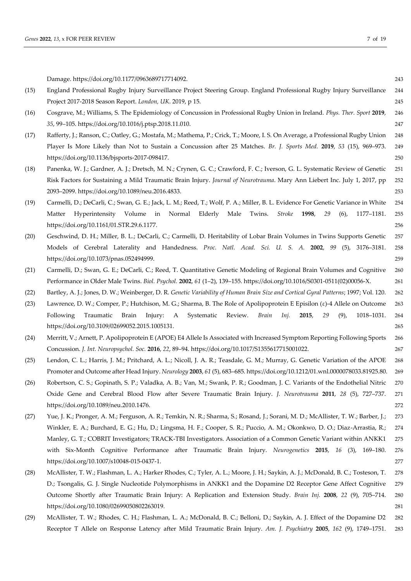|      | Damage. https://doi.org/10.1177/0963689717714092.                                                                                                                                                                                                | 243        |  |  |  |  |
|------|--------------------------------------------------------------------------------------------------------------------------------------------------------------------------------------------------------------------------------------------------|------------|--|--|--|--|
| (15) | England Professional Rugby Injury Surveillance Project Steering Group. England Professional Rugby Injury Surveillance                                                                                                                            |            |  |  |  |  |
|      | Project 2017-2018 Season Report. London, UK. 2019, p 15.                                                                                                                                                                                         | 245        |  |  |  |  |
| (16) | Cosgrave, M.; Williams, S. The Epidemiology of Concussion in Professional Rugby Union in Ireland. Phys. Ther. Sport 2019,                                                                                                                        | 246        |  |  |  |  |
|      | 35, 99-105. https://doi.org/10.1016/j.ptsp.2018.11.010.                                                                                                                                                                                          | 247        |  |  |  |  |
| (17) | Rafferty, J.; Ranson, C.; Oatley, G.; Mostafa, M.; Mathema, P.; Crick, T.; Moore, I. S. On Average, a Professional Rugby Union                                                                                                                   | 248        |  |  |  |  |
|      | Player Is More Likely than Not to Sustain a Concussion after 25 Matches. Br. J. Sports Med. 2019, 53 (15), 969-973.                                                                                                                              | 249        |  |  |  |  |
|      | https://doi.org/10.1136/bjsports-2017-098417.                                                                                                                                                                                                    | 250        |  |  |  |  |
| (18) | Panenka, W. J.; Gardner, A. J.; Dretsch, M. N.; Crynen, G. C.; Crawford, F. C.; Iverson, G. L. Systematic Review of Genetic                                                                                                                      | 251        |  |  |  |  |
|      | Risk Factors for Sustaining a Mild Traumatic Brain Injury. Journal of Neurotrauma. Mary Ann Liebert Inc. July 1, 2017, pp                                                                                                                        | 252        |  |  |  |  |
|      | 2093-2099. https://doi.org/10.1089/neu.2016.4833.                                                                                                                                                                                                | 253        |  |  |  |  |
| (19) | Carmelli, D.; DeCarli, C.; Swan, G. E.; Jack, L. M.; Reed, T.; Wolf, P. A.; Miller, B. L. Evidence For Genetic Variance in White                                                                                                                 | 254        |  |  |  |  |
|      | Hyperintensity Volume in Normal<br>Elderly<br>Male<br>Twins.<br><b>Stroke</b><br>1998,<br>Matter<br>29<br>$(6)$ ,<br>1177-1181.                                                                                                                  | 255        |  |  |  |  |
|      | https://doi.org/10.1161/01.STR.29.6.1177.                                                                                                                                                                                                        | 256        |  |  |  |  |
| (20) | Geschwind, D. H.; Miller, B. L.; DeCarli, C.; Carmelli, D. Heritability of Lobar Brain Volumes in Twins Supports Genetic                                                                                                                         | 257        |  |  |  |  |
|      | Models of Cerebral Laterality and Handedness. Proc. Natl. Acad. Sci. U. S. A. 2002, 99 (5), 3176-3181.                                                                                                                                           | 258        |  |  |  |  |
|      | https://doi.org/10.1073/pnas.052494999.                                                                                                                                                                                                          | 259        |  |  |  |  |
| (21) | Carmelli, D.; Swan, G. E.; DeCarli, C.; Reed, T. Quantitative Genetic Modeling of Regional Brain Volumes and Cognitive                                                                                                                           | 260        |  |  |  |  |
|      | Performance in Older Male Twins. Biol. Psychol. 2002, 61 (1-2), 139-155. https://doi.org/10.1016/S0301-0511(02)00056-X.                                                                                                                          | 261        |  |  |  |  |
| (22) | Bartley, A. J.; Jones, D. W.; Weinberger, D. R. Genetic Variability of Human Brain Size and Cortical Gyral Patterns; 1997; Vol. 120.                                                                                                             | 262        |  |  |  |  |
| (23) | Lawrence, D. W.; Comper, P.; Hutchison, M. G.; Sharma, B. The Role of Apolipoprotein E Episilon ( $\varepsilon$ )-4 Allele on Outcome                                                                                                            | 263        |  |  |  |  |
|      | Injury: A Systematic<br>Review.<br>Brain<br>2015,<br>Following<br>Traumatic Brain<br>Inj.<br>29<br>$(9)$ ,<br>1018-1031.                                                                                                                         | 264        |  |  |  |  |
|      | https://doi.org/10.3109/02699052.2015.1005131.                                                                                                                                                                                                   | 265        |  |  |  |  |
| (24) | Merritt, V.; Arnett, P. Apolipoprotein E (APOE) E4 Allele Is Associated with Increased Symptom Reporting Following Sports                                                                                                                        | 266        |  |  |  |  |
|      | Concussion. J. Int. Neuropsychol. Soc. 2016, 22, 89-94. https://doi.org/10.1017/S1355617715001022.                                                                                                                                               | 267        |  |  |  |  |
| (25) | Lendon, C. L.; Harris, J. M.; Pritchard, A. L.; Nicoll, J. A. R.; Teasdale, G. M.; Murray, G. Genetic Variation of the APOE                                                                                                                      |            |  |  |  |  |
|      | Promoter and Outcome after Head Injury. Neurology 2003, 61 (5), 683-685. https://doi.org/10.1212/01.wnl.0000078033.81925.80.                                                                                                                     | 269        |  |  |  |  |
| (26) | Robertson, C. S.; Gopinath, S. P.; Valadka, A. B.; Van, M.; Swank, P. R.; Goodman, J. C. Variants of the Endothelial Nitric                                                                                                                      |            |  |  |  |  |
|      | Oxide Gene and Cerebral Blood Flow after Severe Traumatic Brain Injury. J. Neurotrauma 2011, 28 (5), 727-737.                                                                                                                                    | 271        |  |  |  |  |
|      | https://doi.org/10.1089/neu.2010.1476.                                                                                                                                                                                                           | 272        |  |  |  |  |
| (27) | Yue, J. K.; Pronger, A. M.; Ferguson, A. R.; Temkin, N. R.; Sharma, S.; Rosand, J.; Sorani, M. D.; McAllister, T. W.; Barber, J.;                                                                                                                | 273        |  |  |  |  |
|      | Winkler, E. A.; Burchard, E. G.; Hu, D.; Lingsma, H. F.; Cooper, S. R.; Puccio, A. M.; Okonkwo, D. O.; Diaz-Arrastia, R.;                                                                                                                        | 274        |  |  |  |  |
|      | Manley, G. T.; COBRIT Investigators; TRACK-TBI Investigators. Association of a Common Genetic Variant within ANKK1                                                                                                                               | 275        |  |  |  |  |
|      | with Six-Month Cognitive Performance after Traumatic Brain Injury. Neurogenetics 2015, 16 (3), 169-180.                                                                                                                                          | 276        |  |  |  |  |
|      | https://doi.org/10.1007/s10048-015-0437-1.                                                                                                                                                                                                       | 277        |  |  |  |  |
| (28) | McAllister, T. W.; Flashman, L. A.; Harker Rhodes, C.; Tyler, A. L.; Moore, J. H.; Saykin, A. J.; McDonald, B. C.; Tosteson, T.                                                                                                                  | 278        |  |  |  |  |
|      | D.; Tsongalis, G. J. Single Nucleotide Polymorphisms in ANKK1 and the Dopamine D2 Receptor Gene Affect Cognitive                                                                                                                                 | 279        |  |  |  |  |
|      | Outcome Shortly after Traumatic Brain Injury: A Replication and Extension Study. Brain Inj. 2008, 22 (9), 705-714.                                                                                                                               | 280        |  |  |  |  |
|      | https://doi.org/10.1080/02699050802263019.                                                                                                                                                                                                       | 281        |  |  |  |  |
| (29) | McAllister, T. W.; Rhodes, C. H.; Flashman, L. A.; McDonald, B. C.; Belloni, D.; Saykin, A. J. Effect of the Dopamine D2<br>Receptor T Allele on Response Latency after Mild Traumatic Brain Injury. Am. J. Psychiatry 2005, 162 (9), 1749-1751. | 282<br>283 |  |  |  |  |
|      |                                                                                                                                                                                                                                                  |            |  |  |  |  |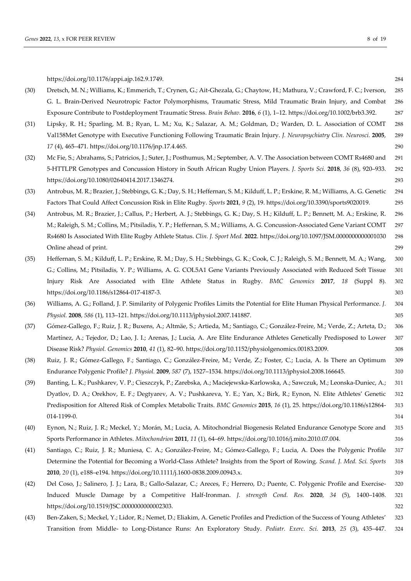https://doi.org/10.1176/appi.ajp.162.9.1749. 284 (30) Dretsch, M. N.; Williams, K.; Emmerich, T.; Crynen, G.; Ait-Ghezala, G.; Chaytow, H.; Mathura, V.; Crawford, F. C.; Iverson, 285 G. L. Brain-Derived Neurotropic Factor Polymorphisms, Traumatic Stress, Mild Traumatic Brain Injury, and Combat 286 Exposure Contribute to Postdeployment Traumatic Stress. *Brain Behav.* **2016**, *6* (1), 1–12. https://doi.org/10.1002/brb3.392. 287 (31) Lipsky, R. H.; Sparling, M. B.; Ryan, L. M.; Xu, K.; Salazar, A. M.; Goldman, D.; Warden, D. L. Association of COMT 288 Val158Met Genotype with Executive Functioning Following Traumatic Brain Injury. *J. Neuropsychiatry Clin. Neurosci.* **2005**, 289 *17* (4), 465–471. https://doi.org/10.1176/jnp.17.4.465. 290 (32) Mc Fie, S.; Abrahams, S.; Patricios, J.; Suter, J.; Posthumus, M.; September, A. V. The Association between COMT Rs4680 and 291 5-HTTLPR Genotypes and Concussion History in South African Rugby Union Players. *J. Sports Sci.* **2018**, *36* (8), 920–933. 292 https://doi.org/10.1080/02640414.2017.1346274. 293 (33) Antrobus, M. R.; Brazier, J.; Stebbings, G. K.; Day, S. H.; Heffernan, S. M.; Kilduff, L. P.; Erskine, R. M.; Williams, A. G. Genetic 294 Factors That Could Affect Concussion Risk in Elite Rugby. *Sports* **2021**, *9* (2), 19. https://doi.org/10.3390/sports9020019. 295 (34) Antrobus, M. R.; Brazier, J.; Callus, P.; Herbert, A. J.; Stebbings, G. K.; Day, S. H.; Kilduff, L. P.; Bennett, M. A.; Erskine, R. 296 M.; Raleigh, S. M.; Collins, M.; Pitsiladis, Y. P.; Heffernan, S. M.; Williams, A. G. Concussion-Associated Gene Variant COMT 297 Rs4680 Is Associated With Elite Rugby Athlete Status. *Clin. J. Sport Med.* **2022**. https://doi.org/10.1097/JSM.0000000000001030 298 Online ahead of print. 299 (35) Heffernan, S. M.; Kilduff, L. P.; Erskine, R. M.; Day, S. H.; Stebbings, G. K.; Cook, C. J.; Raleigh, S. M.; Bennett, M. A.; Wang, 300 G.; Collins, M.; Pitsiladis, Y. P.; Williams, A. G. COL5A1 Gene Variants Previously Associated with Reduced Soft Tissue 301 Injury Risk Are Associated with Elite Athlete Status in Rugby. *BMC Genomics* **2017**, *18* (Suppl 8). 302 https://doi.org/10.1186/s12864-017-4187-3. 303 (36) Williams, A. G.; Folland, J. P. Similarity of Polygenic Profiles Limits the Potential for Elite Human Physical Performance. *J.* 304 *Physiol.* **2008**, *586* (1), 113–121. https://doi.org/10.1113/jphysiol.2007.141887. 305 (37) Gómez-Gallego, F.; Ruiz, J. R.; Buxens, A.; Altmäe, S.; Artieda, M.; Santiago, C.; González-Freire, M.; Verde, Z.; Arteta, D.; 306 Martínez, A.; Tejedor, D.; Lao, J. I.; Arenas, J.; Lucia, A. Are Elite Endurance Athletes Genetically Predisposed to Lower 307 Disease Risk? *Physiol. Genomics* **2010**, *41* (1), 82–90. https://doi.org/10.1152/physiolgenomics.00183.2009. 308 (38) Ruiz, J. R.; Gómez-Gallego, F.; Santiago, C.; González-Freire, M.; Verde, Z.; Foster, C.; Lucia, A. Is There an Optimum 309 Endurance Polygenic Profile? *J. Physiol.* **2009**, *587* (7), 1527–1534. https://doi.org/10.1113/jphysiol.2008.166645. 310 (39) Banting, L. K.; Pushkarev, V. P.; Cieszczyk, P.; Zarebska, A.; Maciejewska-Karlowska, A.; Sawczuk, M.; Leonska-Duniec, A.; 311 Dyatlov, D. A.; Orekhov, E. F.; Degtyarev, A. V.; Pushkareva, Y. E.; Yan, X.; Birk, R.; Eynon, N. Elite Athletes' Genetic 312 Predisposition for Altered Risk of Complex Metabolic Traits. *BMC Genomics* **2015**, *16* (1), 25. https://doi.org/10.1186/s12864- 313 014-1199-0. 314 (40) Eynon, N.; Ruiz, J. R.; Meckel, Y.; Morán, M.; Lucia, A. Mitochondrial Biogenesis Related Endurance Genotype Score and 315 Sports Performance in Athletes. *Mitochondrion* **2011**, *11* (1), 64–69. https://doi.org/10.1016/j.mito.2010.07.004. 316 (41) Santiago, C.; Ruiz, J. R.; Muniesa, C. A.; González-Freire, M.; Gómez-Gallego, F.; Lucia, A. Does the Polygenic Profile 317 Determine the Potential for Becoming a World-Class Athlete? Insights from the Sport of Rowing. *Scand. J. Med. Sci. Sports* 318 **2010**, *20* (1), e188–e194. https://doi.org/10.1111/j.1600-0838.2009.00943.x. 319 (42) Del Coso, J.; Salinero, J. J.; Lara, B.; Gallo-Salazar, C.; Areces, F.; Herrero, D.; Puente, C. Polygenic Profile and Exercise- 320 Induced Muscle Damage by a Competitive Half-Ironman. *J. strength Cond. Res.* **2020**, *34* (5), 1400–1408. 321 https://doi.org/10.1519/JSC.0000000000002303. 322

(43) Ben-Zaken, S.; Meckel, Y.; Lidor, R.; Nemet, D.; Eliakim, A. Genetic Profiles and Prediction of the Success of Young Athletes' 323 Transition from Middle- to Long-Distance Runs: An Exploratory Study. *Pediatr. Exerc. Sci.* **2013**, *25* (3), 435–447. 324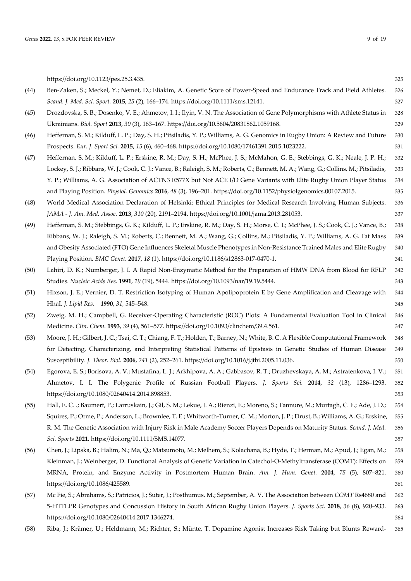*Genes* **2022**, *13*, x FOR PEER REVIEW 9 of 19

|      | https://doi.org/10.1123/pes.25.3.435.                                                                                                  | 325 |
|------|----------------------------------------------------------------------------------------------------------------------------------------|-----|
| (44) | Ben-Zaken, S.; Meckel, Y.; Nemet, D.; Eliakim, A. Genetic Score of Power-Speed and Endurance Track and Field Athletes.                 | 326 |
|      | Scand. J. Med. Sci. Sport. 2015, 25 (2), 166-174. https://doi.org/10.1111/sms.12141.                                                   | 327 |
| (45) | Drozdovska, S. B.; Dosenko, V. E.; Ahmetov, I. I.; Ilyin, V. N. The Association of Gene Polymorphisms with Athlete Status in           | 328 |
|      | Ukrainians. Biol. Sport 2013, 30 (3), 163-167. https://doi.org/10.5604/20831862.1059168.                                               | 329 |
| (46) | Heffernan, S. M.; Kilduff, L. P.; Day, S. H.; Pitsiladis, Y. P.; Williams, A. G. Genomics in Rugby Union: A Review and Future          | 330 |
|      | Prospects. Eur. J. Sport Sci. 2015, 15 (6), 460-468. https://doi.org/10.1080/17461391.2015.1023222.                                    | 331 |
| (47) | Heffernan, S. M.; Kilduff, L. P.; Erskine, R. M.; Day, S. H.; McPhee, J. S.; McMahon, G. E.; Stebbings, G. K.; Neale, J. P. H.;        | 332 |
|      | Lockey, S. J.; Ribbans, W. J.; Cook, C. J.; Vance, B.; Raleigh, S. M.; Roberts, C.; Bennett, M. A.; Wang, G.; Collins, M.; Pitsiladis, | 333 |
|      | Y. P.; Williams, A. G. Association of ACTN3 R577X but Not ACE I/D Gene Variants with Elite Rugby Union Player Status                   | 334 |
|      | and Playing Position. Physiol. Genomics 2016, 48 (3), 196-201. https://doi.org/10.1152/physiolgenomics.00107.2015.                     | 335 |
| (48) | World Medical Association Declaration of Helsinki: Ethical Principles for Medical Research Involving Human Subjects.                   | 336 |
|      | JAMA - J. Am. Med. Assoc. 2013, 310 (20), 2191-2194. https://doi.org/10.1001/jama.2013.281053.                                         | 337 |
| (49) | Heffernan, S. M.; Stebbings, G. K.; Kilduff, L. P.; Erskine, R. M.; Day, S. H.; Morse, C. I.; McPhee, J. S.; Cook, C. J.; Vance, B.;   | 338 |
|      | Ribbans, W. J.; Raleigh, S. M.; Roberts, C.; Bennett, M. A.; Wang, G.; Collins, M.; Pitsiladis, Y. P.; Williams, A. G. Fat Mass        | 339 |
|      | and Obesity Associated (FTO) Gene Influences Skeletal Muscle Phenotypes in Non-Resistance Trained Males and Elite Rugby                | 340 |
|      | Playing Position. BMC Genet. 2017, 18 (1). https://doi.org/10.1186/s12863-017-0470-1.                                                  | 341 |
| (50) | Lahiri, D. K.; Numberger, J. I. A Rapid Non-Enzymatic Method for the Preparation of HMW DNA from Blood for RFLP                        | 342 |
|      | Studies. Nucleic Acids Res. 1991, 19 (19), 5444. https://doi.org/10.1093/nar/19.19.5444.                                               | 343 |
| (51) | Hixson, J. E.; Vernier, D. T. Restriction Isotyping of Human Apolipoprotein E by Gene Amplification and Cleavage with                  | 344 |
|      | HhaI. J. Lipid Res. 1990, 31, 545-548.                                                                                                 | 345 |
| (52) | Zweig, M. H.; Campbell, G. Receiver-Operating Characteristic (ROC) Plots: A Fundamental Evaluation Tool in Clinical                    | 346 |
|      | Medicine. Clin. Chem. 1993, 39 (4), 561-577. https://doi.org/10.1093/clinchem/39.4.561.                                                | 347 |
| (53) | Moore, J. H.; Gilbert, J. C.; Tsai, C. T.; Chiang, F. T.; Holden, T.; Barney, N.; White, B. C. A Flexible Computational Framework      | 348 |
|      | for Detecting, Characterizing, and Interpreting Statistical Patterns of Epistasis in Genetic Studies of Human Disease                  | 349 |
|      | Susceptibility. J. Theor. Biol. 2006, 241 (2), 252-261. https://doi.org/10.1016/j.jtbi.2005.11.036.                                    | 350 |
| (54) | Egorova, E. S.; Borisova, A. V.; Mustafina, L. J.; Arkhipova, A. A.; Gabbasov, R. T.; Druzhevskaya, A. M.; Astratenkova, I. V.;        | 351 |
|      | Ahmetov, I. I. The Polygenic Profile of Russian Football Players. J. Sports Sci. 2014, 32 (13), 1286-1293.                             | 352 |
|      | https://doi.org/10.1080/02640414.2014.898853.                                                                                          | 353 |
| (55) | Hall, E. C. .; Baumert, P.; Larruskain, J.; Gil, S. M.; Lekue, J. A.; Rienzi, E.; Moreno, S.; Tannure, M.; Murtagh, C. F.; Ade, J. D.; | 354 |
|      | Squires, P.; Orme, P.; Anderson, L.; Brownlee, T. E.; Whitworth-Turner, C. M.; Morton, J. P.; Drust, B.; Williams, A. G.; Erskine,     | 355 |
|      | R. M. The Genetic Association with Injury Risk in Male Academy Soccer Players Depends on Maturity Status. Scand. J. Med.               | 356 |
|      | Sci. Sports 2021. https://doi.org/10.1111/SMS.14077.                                                                                   | 357 |
| (56) | Chen, J.; Lipska, B.; Halim, N.; Ma, Q.; Matsumoto, M.; Melhem, S.; Kolachana, B.; Hyde, T.; Herman, M.; Apud, J.; Egan, M.;           | 358 |
|      | Kleinman, J.; Weinberger, D. Functional Analysis of Genetic Variation in Catechol-O-Methyltransferase (COMT): Effects on               | 359 |
|      | MRNA, Protein, and Enzyme Activity in Postmortem Human Brain. Am. J. Hum. Genet. 2004, 75 (5), 807-821.                                | 360 |
|      | https://doi.org/10.1086/425589.                                                                                                        | 361 |
| (57) | Mc Fie, S.; Abrahams, S.; Patricios, J.; Suter, J.; Posthumus, M.; September, A. V. The Association between COMT Rs4680 and            | 362 |
|      | 5-HTTLPR Genotypes and Concussion History in South African Rugby Union Players. J. Sports Sci. 2018, 36 (8), 920–933.                  | 363 |
|      | https://doi.org/10.1080/02640414.2017.1346274.                                                                                         | 364 |
| (58) | Riba, J.; Krämer, U.; Heldmann, M.; Richter, S.; Münte, T. Dopamine Agonist Increases Risk Taking but Blunts Reward-                   | 365 |